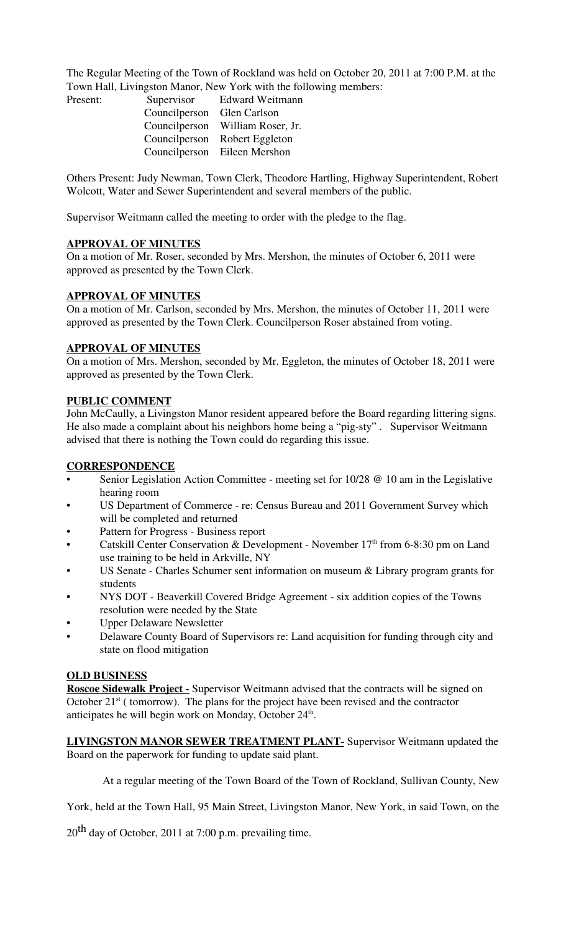The Regular Meeting of the Town of Rockland was held on October 20, 2011 at 7:00 P.M. at the Town Hall, Livingston Manor, New York with the following members:

| Present: |                            | Supervisor Edward Weitmann       |
|----------|----------------------------|----------------------------------|
|          | Councilperson Glen Carlson |                                  |
|          |                            | Councilperson William Roser, Jr. |
|          |                            | Councilperson Robert Eggleton    |
|          |                            | Councilperson Eileen Mershon     |

Others Present: Judy Newman, Town Clerk, Theodore Hartling, Highway Superintendent, Robert Wolcott, Water and Sewer Superintendent and several members of the public.

Supervisor Weitmann called the meeting to order with the pledge to the flag.

#### **APPROVAL OF MINUTES**

On a motion of Mr. Roser, seconded by Mrs. Mershon, the minutes of October 6, 2011 were approved as presented by the Town Clerk.

#### **APPROVAL OF MINUTES**

On a motion of Mr. Carlson, seconded by Mrs. Mershon, the minutes of October 11, 2011 were approved as presented by the Town Clerk. Councilperson Roser abstained from voting.

### **APPROVAL OF MINUTES**

On a motion of Mrs. Mershon, seconded by Mr. Eggleton, the minutes of October 18, 2011 were approved as presented by the Town Clerk.

#### **PUBLIC COMMENT**

John McCaully, a Livingston Manor resident appeared before the Board regarding littering signs. He also made a complaint about his neighbors home being a "pig-sty" . Supervisor Weitmann advised that there is nothing the Town could do regarding this issue.

### **CORRESPONDENCE**

- Senior Legislation Action Committee meeting set for 10/28 @ 10 am in the Legislative hearing room
- US Department of Commerce re: Census Bureau and 2011 Government Survey which will be completed and returned
- Pattern for Progress Business report
- Catskill Center Conservation & Development November  $17<sup>th</sup>$  from 6-8:30 pm on Land use training to be held in Arkville, NY
- US Senate Charles Schumer sent information on museum  $\&$  Library program grants for students
- NYS DOT Beaverkill Covered Bridge Agreement six addition copies of the Towns resolution were needed by the State
- Upper Delaware Newsletter
- Delaware County Board of Supervisors re: Land acquisition for funding through city and state on flood mitigation

## **OLD BUSINESS**

**Roscoe Sidewalk Project -** Supervisor Weitmann advised that the contracts will be signed on October  $21<sup>st</sup>$  ( tomorrow). The plans for the project have been revised and the contractor anticipates he will begin work on Monday, October 24<sup>th</sup>.

**LIVINGSTON MANOR SEWER TREATMENT PLANT-** Supervisor Weitmann updated the Board on the paperwork for funding to update said plant.

At a regular meeting of the Town Board of the Town of Rockland, Sullivan County, New

York, held at the Town Hall, 95 Main Street, Livingston Manor, New York, in said Town, on the

 $20<sup>th</sup>$  day of October, 2011 at 7:00 p.m. prevailing time.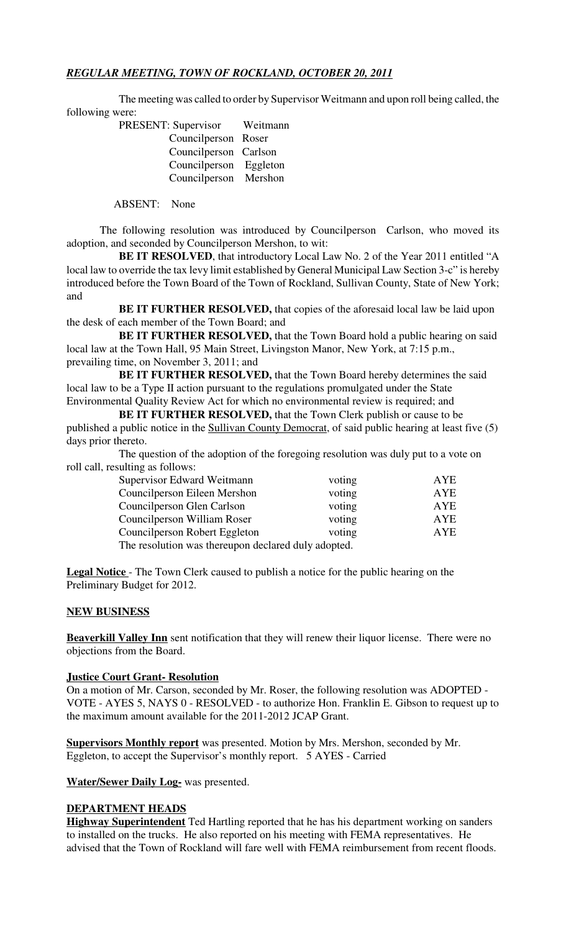# *REGULAR MEETING, TOWN OF ROCKLAND, OCTOBER 20, 2011*

The meeting was called to order by Supervisor Weitmann and upon roll being called, the following were:

| PRESENT: Supervisor    | Weitmann |
|------------------------|----------|
| Councilperson Roser    |          |
| Councilperson Carlson  |          |
| Councilperson Eggleton |          |
| Councilperson Mershon  |          |

ABSENT: None

The following resolution was introduced by Councilperson Carlson, who moved its adoption, and seconded by Councilperson Mershon, to wit:

**BE IT RESOLVED**, that introductory Local Law No. 2 of the Year 2011 entitled "A local law to override the tax levy limit established by General Municipal Law Section 3-c" is hereby introduced before the Town Board of the Town of Rockland, Sullivan County, State of New York; and

**BE IT FURTHER RESOLVED,** that copies of the aforesaid local law be laid upon the desk of each member of the Town Board; and

**BE IT FURTHER RESOLVED,** that the Town Board hold a public hearing on said local law at the Town Hall, 95 Main Street, Livingston Manor, New York, at 7:15 p.m., prevailing time, on November 3, 2011; and

**BE IT FURTHER RESOLVED,** that the Town Board hereby determines the said local law to be a Type II action pursuant to the regulations promulgated under the State Environmental Quality Review Act for which no environmental review is required; and

**BE IT FURTHER RESOLVED,** that the Town Clerk publish or cause to be published a public notice in the Sullivan County Democrat, of said public hearing at least five (5) days prior thereto.

The question of the adoption of the foregoing resolution was duly put to a vote on roll call, resulting as follows:

| Supervisor Edward Weitmann                          | voting | AYE |  |  |
|-----------------------------------------------------|--------|-----|--|--|
| Councilperson Eileen Mershon                        | voting | AYE |  |  |
| Councilperson Glen Carlson                          | voting | AYE |  |  |
| Councilperson William Roser                         | voting | AYE |  |  |
| Councilperson Robert Eggleton                       | voting | AYE |  |  |
| The resolution was thereupon declared duly adopted. |        |     |  |  |

**Legal Notice** - The Town Clerk caused to publish a notice for the public hearing on the Preliminary Budget for 2012.

## **NEW BUSINESS**

**Beaverkill Valley Inn** sent notification that they will renew their liquor license. There were no objections from the Board.

## **Justice Court Grant- Resolution**

On a motion of Mr. Carson, seconded by Mr. Roser, the following resolution was ADOPTED - VOTE - AYES 5, NAYS 0 - RESOLVED - to authorize Hon. Franklin E. Gibson to request up to the maximum amount available for the 2011-2012 JCAP Grant.

**Supervisors Monthly report** was presented. Motion by Mrs. Mershon, seconded by Mr. Eggleton, to accept the Supervisor's monthly report. 5 AYES - Carried

**Water/Sewer Daily Log-** was presented.

## **DEPARTMENT HEADS**

**Highway Superintendent** Ted Hartling reported that he has his department working on sanders to installed on the trucks. He also reported on his meeting with FEMA representatives. He advised that the Town of Rockland will fare well with FEMA reimbursement from recent floods.